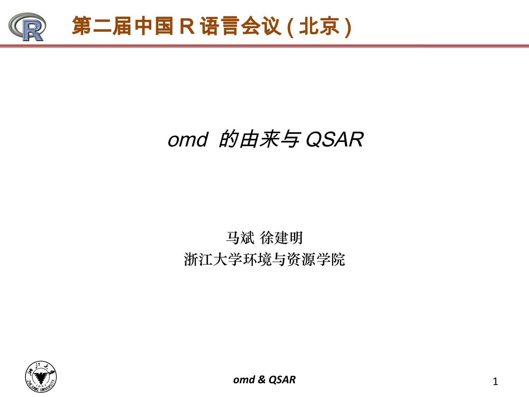

## omd 的由来与 QSAR

### 马斌 徐建明 浙江大学环境与资源学院

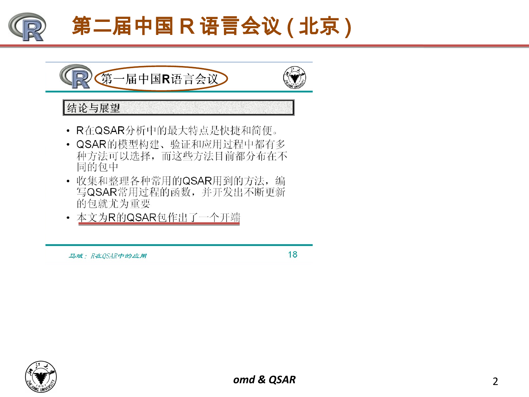

# 第二届中国 R 语言会议 (北京)



- R在QSAR分析中的最大特点是快捷和简便。
- QSAR的模型构建、验证和应用过程中都有多 种方法可以选择, 而这些方法目前都分布在不 同的包中
- 收集和整理各种常用的QSAR用到的方法, 编 写QSAR常用过程的函数,并开发出不断更新 的包就尤为重要
- 本文为R的QSAR包作出了一个开端

马斌: R在QSAR中的应用

18

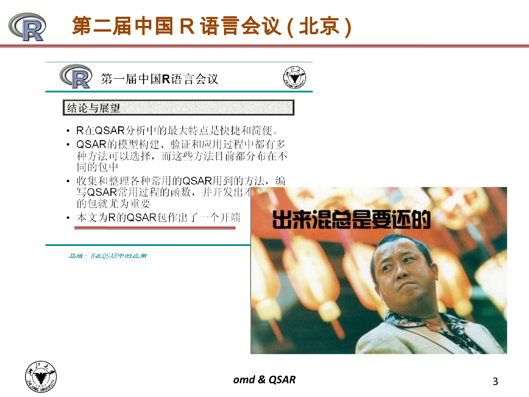

# 第二届中国 R 语言会议 (北京)



#### 结论与展望

- R在QSAR分析中的最大特点是快捷和简便。
- QSAR的模型构建、验证和应用过程中都有多 种方法可以选择, 而这些方法目前都分布在不 同的包中
- 收集和整理各种常用的QSAR用到的方法, 编 写QSAR常用过程的函数,并开发出不 的包就尤为重要
- 本文为R的QSAR包作出了一个开端

马斌: R在QSAR中的应用



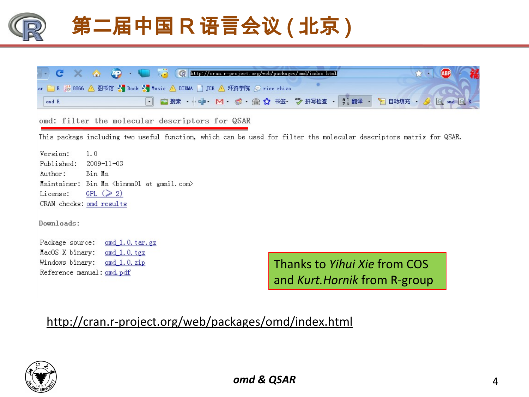

omd: filter the molecular descriptors for QSAR

This package including two useful function, which can be used for filter the molecular descriptors matrix for QSAR.

Version:  $1.0$ Published:  $2009 - 11 - 03$ Bin Ma Author: Maintainer: Bin Ma <br/> <br/> <br/> <br/>ail.com> GPL  $(2)$ License: CRAN checks: omd results

Downloads:

Package source: omd 1.0. tar. gz omd  $1.0$ . tgz MacOS X binary: Windows binary: omd 1.0.zip Reference manual: omd.pdf

Thanks to *Yihui Xie* from COS and *Kurt.Hornik* from R-group

### http://cran.r-project.org/web/packages/omd/index.html

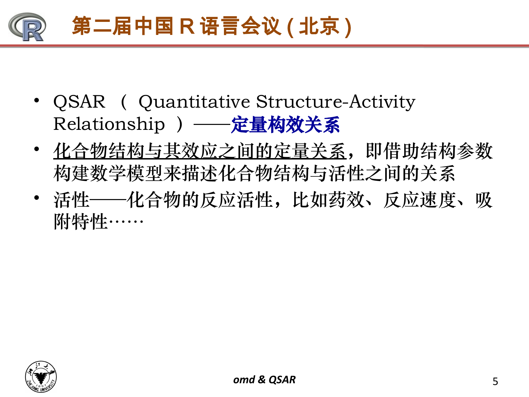

- QSAR ( Quantitative Structure-Activity Relationship ) -- 定量构效关系
- 化合物结构与其效应之间的定量关系,即借助结构参数 构建数学模型来描述化合物结构与活性之间的关系
- 活性——化合物的反应活性,比如药效、反应速度、吸 附特性……

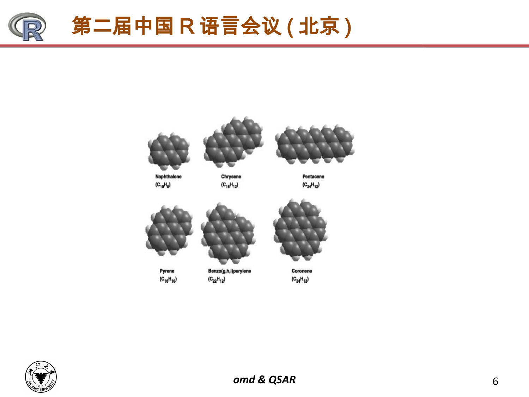







Naphthalene  $(C_{10}H_8)$ 

Chrysene  $(C_{18}H_{12})$ 

Pentacene  $(C_{24}H_{12})$ 



Pyrene  $(C_{16}H_{10})$ 

Benzo(g,h,i)perylene  $(C_{22}H_{12})$ 



Coronene  $(C_{24}H_{12})$ 

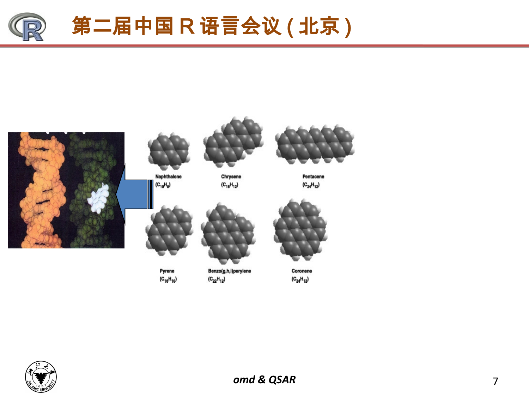



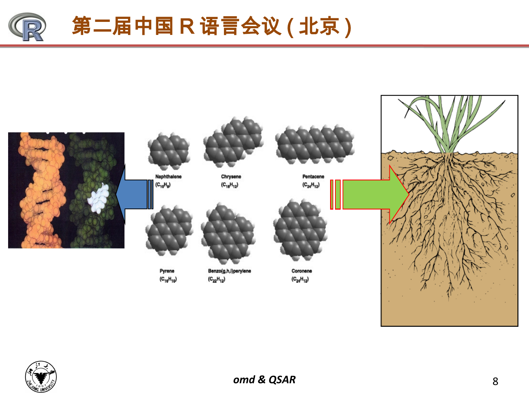



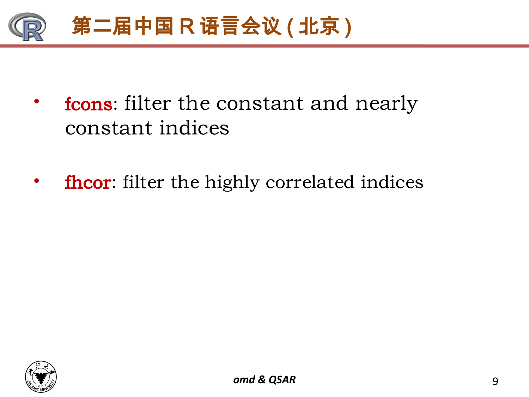

- from tilter the constant and nearly constant indices
- fhcor: filter the highly correlated indices

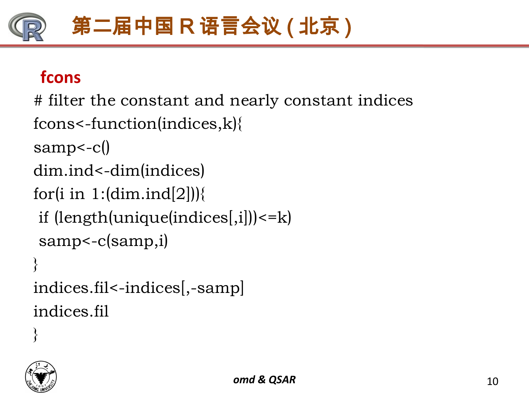# 第二届中国 R 语言会议 ( 北京 )

### **fcons**

# filter the constant and nearly constant indices

```
fcons<-function(indices,k){
```

```
samp<-c()
```

```
dim.ind<-dim(indices)
```

```
for(i in 1:(\text{dim}.\text{ind}[2])){
```

```
if (length(unique(indices[,i])) \le k
```

```
samp<-c(samp,i)
```

```
}
indices.fil<-indices[,-samp]
indices.fil
```
}

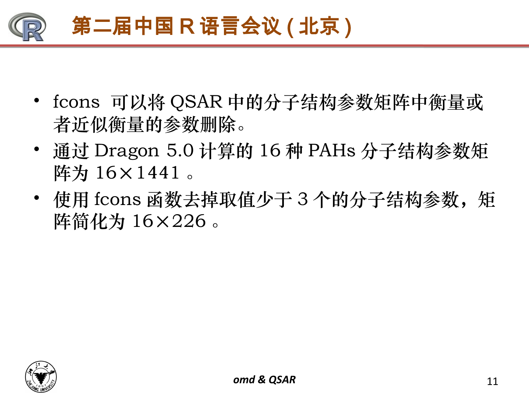

- fcons 可以将 QSAR 中的分子结构参数矩阵中衡量或 者近似衡量的参数删除。
- 通过 Dragon 5.0 计算的 16 种 PAHs 分子结构参数矩 阵为 16×1441 。
- 使用 fcons 函数去掉取值少于 3 个的分子结构参数, 矩 阵简化为 16×226 。

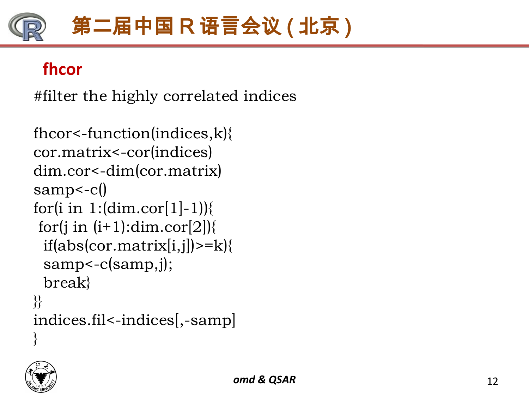# 第二届中国 R 语言会议 ( 北京 )

### **fhcor**

#filter the highly correlated indices

```
fhcor<-function(indices,k){
cor.matrix<-cor(indices)
dim.cor<-dim(cor.matrix)
samp<-c()
for(i in 1:(\dim.cor[1]-1)){
for(j in (i+1):dim.cor[2]\}
 if(abs(cor.matrix[i,j])>=k){
  samp<-c(samp,j);
  break}
}}
indices.fil<-indices[,-samp]
\left\{ \right\}
```
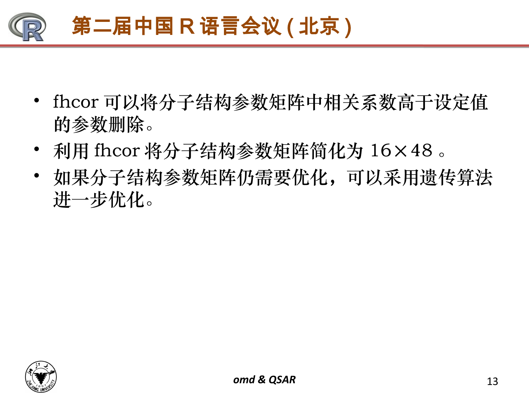

- fhcor 可以将分子结构参数矩阵中相关系数高于设定值 的参数删除。
- 利用 fhcor 将分子结构参数矩阵简化为 16×48 。
- 如果分子结构参数矩阵仍需要优化,可以采用遗传算法 进一步优化。

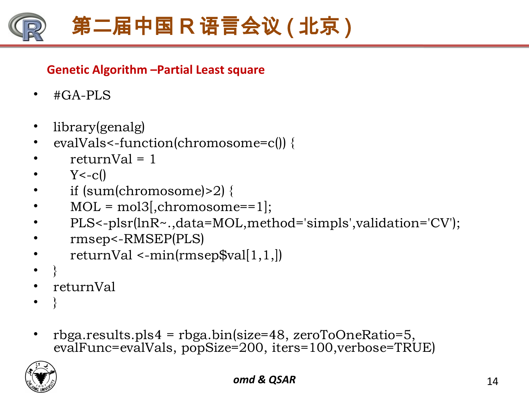

#### **Genetic Algorithm –Partial Least square**

- #GA-PLS
- library(genalg)
- evalVals<-function(chromosome=c()) {
- $return Val = 1$
- $Y < -c()$
- if (sum(chromosome)>2) {
- $MOL = mol3$ , chromosome==1];
- PLS<-plsr(lnR~.,data=MOL,method='simpls',validation='CV');
- rmsep<-RMSEP(PLS)
- $returnVal \le -min(rmsepSval[1,1,])$
- }
- returnVal
- }
- rbga.results.pls4 = rbga.bin(size=48, zeroToOneRatio=5, evalFunc=evalVals, popSize=200, iters=100,verbose=TRUE)

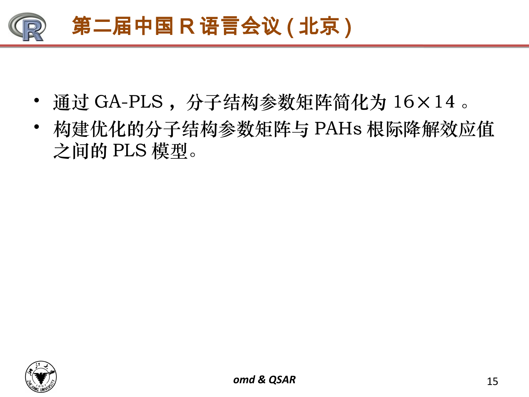

- 通过 GA-PLS, 分子结构参数矩阵简化为 16×14。
- 构建优化的分子结构参数矩阵与 PAHs 根际降解效应值 之间的 PLS 模型。

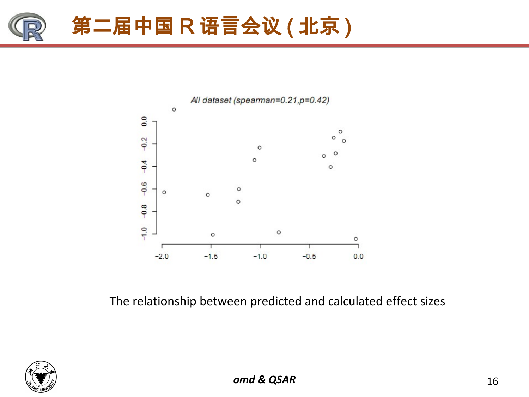



The relationship between predicted and calculated effect sizes

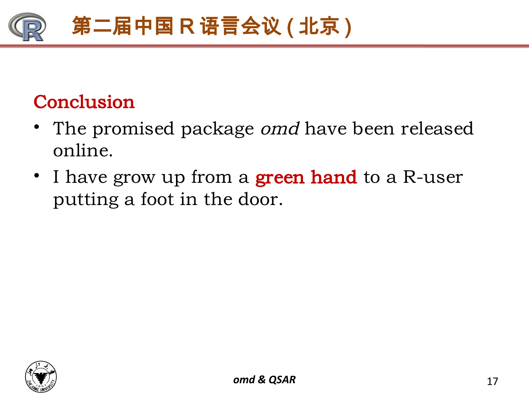

## Conclusion

- The promised package *omd* have been released online.
- I have grow up from a **green hand** to a R-user putting a foot in the door.